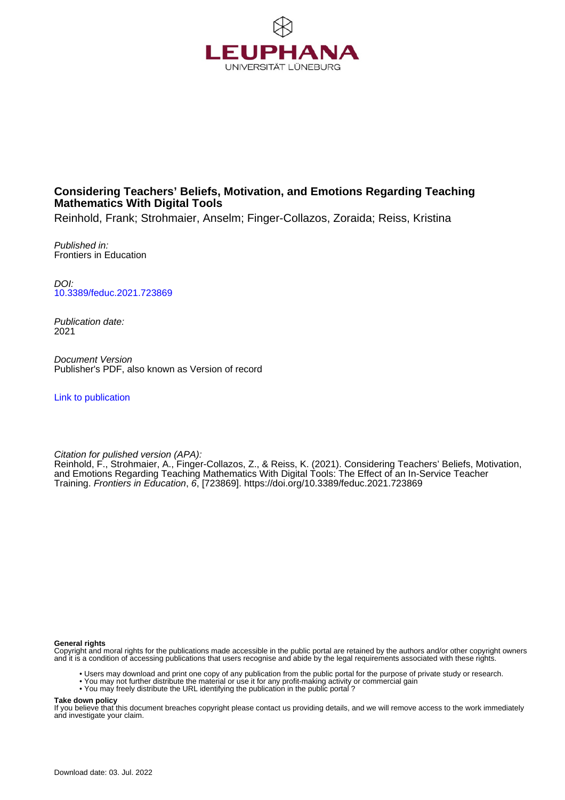

# **Considering Teachers' Beliefs, Motivation, and Emotions Regarding Teaching Mathematics With Digital Tools**

Reinhold, Frank; Strohmaier, Anselm; Finger-Collazos, Zoraida; Reiss, Kristina

Published in: Frontiers in Education

DOI: [10.3389/feduc.2021.723869](https://doi.org/10.3389/feduc.2021.723869)

Publication date: 2021

Document Version Publisher's PDF, also known as Version of record

[Link to publication](http://fox.leuphana.de/portal/en/publications/considering-teachers-beliefs-motivation-and-emotions-regarding-teaching-mathematics-with-digital-tools(5aa08b67-fd43-489c-8e8b-c8c8d52c02b7).html)

Citation for pulished version (APA):

Reinhold, F.[, Strohmaier, A.](http://fox.leuphana.de/portal/de/persons/anselm-strohmaier(5aedf33a-4716-40cd-a225-e9c4db6be033).html), Finger-Collazos, Z., & Reiss, K. (2021). [Considering Teachers' Beliefs, Motivation,](http://fox.leuphana.de/portal/de/publications/considering-teachers-beliefs-motivation-and-emotions-regarding-teaching-mathematics-with-digital-tools(5aa08b67-fd43-489c-8e8b-c8c8d52c02b7).html) [and Emotions Regarding Teaching Mathematics With Digital Tools: The Effect of an In-Service Teacher](http://fox.leuphana.de/portal/de/publications/considering-teachers-beliefs-motivation-and-emotions-regarding-teaching-mathematics-with-digital-tools(5aa08b67-fd43-489c-8e8b-c8c8d52c02b7).html) [Training](http://fox.leuphana.de/portal/de/publications/considering-teachers-beliefs-motivation-and-emotions-regarding-teaching-mathematics-with-digital-tools(5aa08b67-fd43-489c-8e8b-c8c8d52c02b7).html). [Frontiers in Education](http://fox.leuphana.de/portal/de/journals/frontiers-in-education(2316f90f-34b4-448c-badd-58ac69bf7ddb)/publications.html), 6, [723869].<https://doi.org/10.3389/feduc.2021.723869>

**General rights**

Copyright and moral rights for the publications made accessible in the public portal are retained by the authors and/or other copyright owners and it is a condition of accessing publications that users recognise and abide by the legal requirements associated with these rights.

- Users may download and print one copy of any publication from the public portal for the purpose of private study or research.
- You may not further distribute the material or use it for any profit-making activity or commercial gain
- You may freely distribute the URL identifying the publication in the public portal ?

**Take down policy**

If you believe that this document breaches copyright please contact us providing details, and we will remove access to the work immediately and investigate your claim.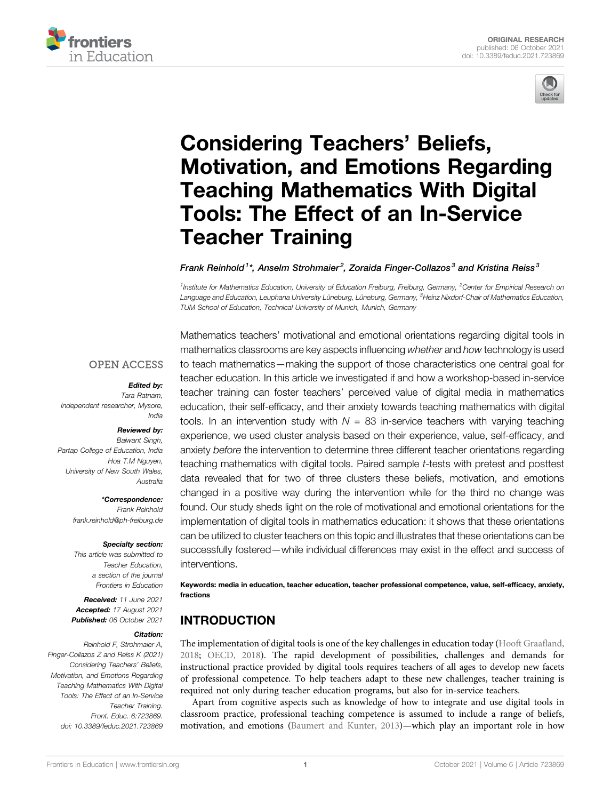



# [Considering Teachers](https://www.frontiersin.org/articles/10.3389/feduc.2021.723869/full)' Beliefs, [Motivation, and Emotions Regarding](https://www.frontiersin.org/articles/10.3389/feduc.2021.723869/full) [Teaching Mathematics With Digital](https://www.frontiersin.org/articles/10.3389/feduc.2021.723869/full) [Tools: The Effect of an In-Service](https://www.frontiersin.org/articles/10.3389/feduc.2021.723869/full) [Teacher Training](https://www.frontiersin.org/articles/10.3389/feduc.2021.723869/full)

Frank Reinhold<sup>1\*</sup>, Anselm Strohmaier<sup>2</sup>, Zoraida Finger-Collazos<sup>3</sup> and Kristina Reiss<sup>3</sup>

<sup>1</sup>Institute for Mathematics Education, University of Education Freiburg, Freiburg, Germany, <sup>2</sup>Center for Empirical Research on Language and Education, Leuphana University Lüneburg, Lüneburg, Germany, <sup>3</sup>Heinz Nixdorf-Chair of Mathematics Education, TUM School of Education, Technical University of Munich, Munich, Germany

#### **OPEN ACCESS**

#### Edited by:

Tara Ratnam, Independent researcher, Mysore, India

#### Reviewed by:

Balwant Singh, Partap College of Education, India Hoa T.M Nguyen, University of New South Wales, Australia

> \*Correspondence: Frank Reinhold [frank.reinhold@ph-freiburg.de](mailto:frank.reinhold@ph-freiburg.de)

#### Specialty section:

This article was submitted to Teacher Education, a section of the journal Frontiers in Education

Received: 11 June 2021 Accepted: 17 August 2021 Published: 06 October 2021

#### Citation:

Reinhold F, Strohmaier A, Finger-Collazos Z and Reiss K (2021) Considering Teachers' Beliefs, Motivation, and Emotions Regarding Teaching Mathematics With Digital Tools: The Effect of an In-Service Teacher Training. Front. Educ. 6:723869. doi: [10.3389/feduc.2021.723869](https://doi.org/10.3389/feduc.2021.723869)

Mathematics teachers' motivational and emotional orientations regarding digital tools in mathematics classrooms are key aspects influencing whether and how technology is used to teach mathematics—making the support of those characteristics one central goal for teacher education. In this article we investigated if and how a workshop-based in-service teacher training can foster teachers' perceived value of digital media in mathematics education, their self-efficacy, and their anxiety towards teaching mathematics with digital tools. In an intervention study with  $N = 83$  in-service teachers with varying teaching experience, we used cluster analysis based on their experience, value, self-efficacy, and anxiety before the intervention to determine three different teacher orientations regarding teaching mathematics with digital tools. Paired sample t-tests with pretest and posttest data revealed that for two of three clusters these beliefs, motivation, and emotions changed in a positive way during the intervention while for the third no change was found. Our study sheds light on the role of motivational and emotional orientations for the implementation of digital tools in mathematics education: it shows that these orientations can be utilized to cluster teachers on this topic and illustrates that these orientations can be successfully fostered—while individual differences may exist in the effect and success of interventions.

Keywords: media in education, teacher education, teacher professional competence, value, self-efficacy, anxiety, fractions

# INTRODUCTION

The implementation of digital tools is one of the key challenges in education today [\(Hooft Graa](#page-11-0)fland, [2018;](#page-11-0) [OECD, 2018\)](#page-11-1). The rapid development of possibilities, challenges and demands for instructional practice provided by digital tools requires teachers of all ages to develop new facets of professional competence. To help teachers adapt to these new challenges, teacher training is required not only during teacher education programs, but also for in-service teachers.

Apart from cognitive aspects such as knowledge of how to integrate and use digital tools in classroom practice, professional teaching competence is assumed to include a range of beliefs, motivation, and emotions ([Baumert and Kunter, 2013](#page-10-0))—which play an important role in how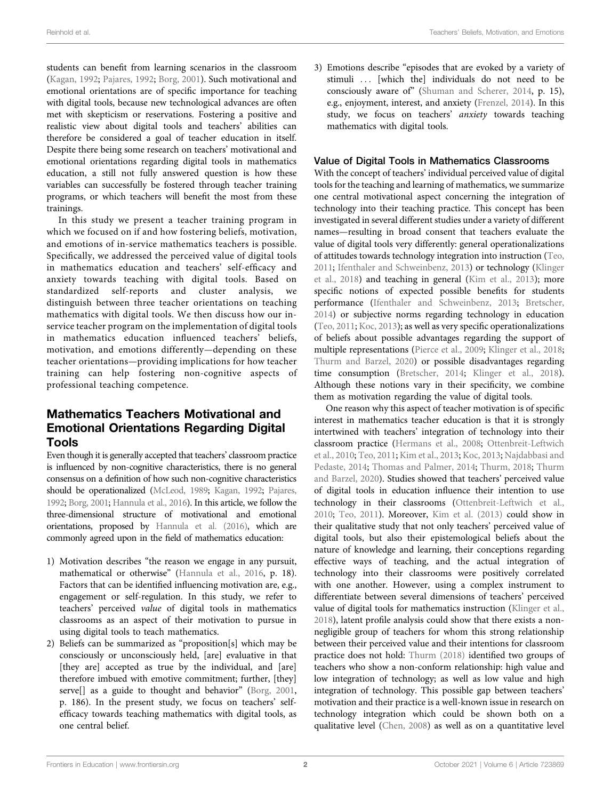Reinhold et al. Teachers' Beliefs, Motivation, and Emotions

students can benefit from learning scenarios in the classroom ([Kagan, 1992](#page-11-2); [Pajares, 1992;](#page-11-3) [Borg, 2001](#page-10-1)). Such motivational and emotional orientations are of specific importance for teaching with digital tools, because new technological advances are often met with skepticism or reservations. Fostering a positive and realistic view about digital tools and teachers' abilities can therefore be considered a goal of teacher education in itself. Despite there being some research on teachers' motivational and emotional orientations regarding digital tools in mathematics education, a still not fully answered question is how these variables can successfully be fostered through teacher training programs, or which teachers will benefit the most from these trainings.

In this study we present a teacher training program in which we focused on if and how fostering beliefs, motivation, and emotions of in-service mathematics teachers is possible. Specifically, we addressed the perceived value of digital tools in mathematics education and teachers' self-efficacy and anxiety towards teaching with digital tools. Based on standardized self-reports and cluster analysis, we distinguish between three teacher orientations on teaching mathematics with digital tools. We then discuss how our inservice teacher program on the implementation of digital tools in mathematics education influenced teachers' beliefs, motivation, and emotions differently—depending on these teacher orientations—providing implications for how teacher training can help fostering non-cognitive aspects of professional teaching competence.

## Mathematics Teachers Motivational and Emotional Orientations Regarding Digital Tools

Even though it is generally accepted that teachers' classroom practice is influenced by non-cognitive characteristics, there is no general consensus on a definition of how such non-cognitive characteristics should be operationalized [\(McLeod, 1989;](#page-11-4) [Kagan, 1992](#page-11-2); [Pajares,](#page-11-3) [1992;](#page-11-3) [Borg, 2001;](#page-10-1) [Hannula et al., 2016](#page-11-5)). In this article, we follow the three-dimensional structure of motivational and emotional orientations, proposed by [Hannula et al. \(2016\)](#page-11-5), which are commonly agreed upon in the field of mathematics education:

- 1) Motivation describes "the reason we engage in any pursuit, mathematical or otherwise" [\(Hannula et al., 2016,](#page-11-5) p. 18). Factors that can be identified influencing motivation are, e.g., engagement or self-regulation. In this study, we refer to teachers' perceived value of digital tools in mathematics classrooms as an aspect of their motivation to pursue in using digital tools to teach mathematics.
- 2) Beliefs can be summarized as "proposition[s] which may be consciously or unconsciously held, [are] evaluative in that [they are] accepted as true by the individual, and [are] therefore imbued with emotive commitment; further, [they] serve<sup>[]</sup> as a guide to thought and behavior" [\(Borg, 2001](#page-10-1), p. 186). In the present study, we focus on teachers' selfefficacy towards teaching mathematics with digital tools, as one central belief.

3) Emotions describe "episodes that are evoked by a variety of stimuli ... [which the] individuals do not need to be consciously aware of" [\(Shuman and Scherer, 2014](#page-11-6), p. 15), e.g., enjoyment, interest, and anxiety ([Frenzel, 2014](#page-10-2)). In this study, we focus on teachers' anxiety towards teaching mathematics with digital tools.

#### <span id="page-2-0"></span>Value of Digital Tools in Mathematics Classrooms

With the concept of teachers' individual perceived value of digital tools for the teaching and learning of mathematics, we summarize one central motivational aspect concerning the integration of technology into their teaching practice. This concept has been investigated in several different studies under a variety of different names—resulting in broad consent that teachers evaluate the value of digital tools very differently: general operationalizations of attitudes towards technology integration into instruction [\(Teo,](#page-11-7) [2011](#page-11-7); [Ifenthaler and Schweinbenz, 2013\)](#page-11-8) or technology ([Klinger](#page-11-9) [et al., 2018\)](#page-11-9) and teaching in general ([Kim et al., 2013\)](#page-11-10); more specific notions of expected possible benefits for students performance ([Ifenthaler and Schweinbenz, 2013;](#page-11-8) [Bretscher,](#page-10-3) [2014](#page-10-3)) or subjective norms regarding technology in education [\(Teo, 2011;](#page-11-7) [Koc, 2013](#page-11-11)); as well as very specific operationalizations of beliefs about possible advantages regarding the support of multiple representations [\(Pierce et al., 2009](#page-11-12); [Klinger et al., 2018;](#page-11-9) [Thurm and Barzel, 2020](#page-11-13)) or possible disadvantages regarding time consumption ([Bretscher, 2014](#page-10-3); [Klinger et al., 2018\)](#page-11-9). Although these notions vary in their specificity, we combine them as motivation regarding the value of digital tools.

One reason why this aspect of teacher motivation is of specific interest in mathematics teacher education is that it is strongly intertwined with teachers' integration of technology into their classroom practice [\(Hermans et al., 2008;](#page-11-14) [Ottenbreit-Leftwich](#page-11-15) [et al., 2010](#page-11-15); [Teo, 2011;](#page-11-7) [Kim et al., 2013](#page-11-10); [Koc, 2013;](#page-11-11) [Najdabbasi and](#page-11-16) [Pedaste, 2014;](#page-11-16) [Thomas and Palmer, 2014](#page-11-17); [Thurm, 2018](#page-11-18); [Thurm](#page-11-13) [and Barzel, 2020](#page-11-13)). Studies showed that teachers' perceived value of digital tools in education influence their intention to use technology in their classrooms [\(Ottenbreit-Leftwich et al.,](#page-11-15) [2010](#page-11-15); [Teo, 2011](#page-11-7)). Moreover, [Kim et al. \(2013\)](#page-11-10) could show in their qualitative study that not only teachers' perceived value of digital tools, but also their epistemological beliefs about the nature of knowledge and learning, their conceptions regarding effective ways of teaching, and the actual integration of technology into their classrooms were positively correlated with one another. However, using a complex instrument to differentiate between several dimensions of teachers' perceived value of digital tools for mathematics instruction ([Klinger et al.,](#page-11-9) [2018](#page-11-9)), latent profile analysis could show that there exists a nonnegligible group of teachers for whom this strong relationship between their perceived value and their intentions for classroom practice does not hold: [Thurm \(2018\)](#page-11-18) identified two groups of teachers who show a non-conform relationship: high value and low integration of technology; as well as low value and high integration of technology. This possible gap between teachers' motivation and their practice is a well-known issue in research on technology integration which could be shown both on a qualitative level ([Chen, 2008](#page-10-4)) as well as on a quantitative level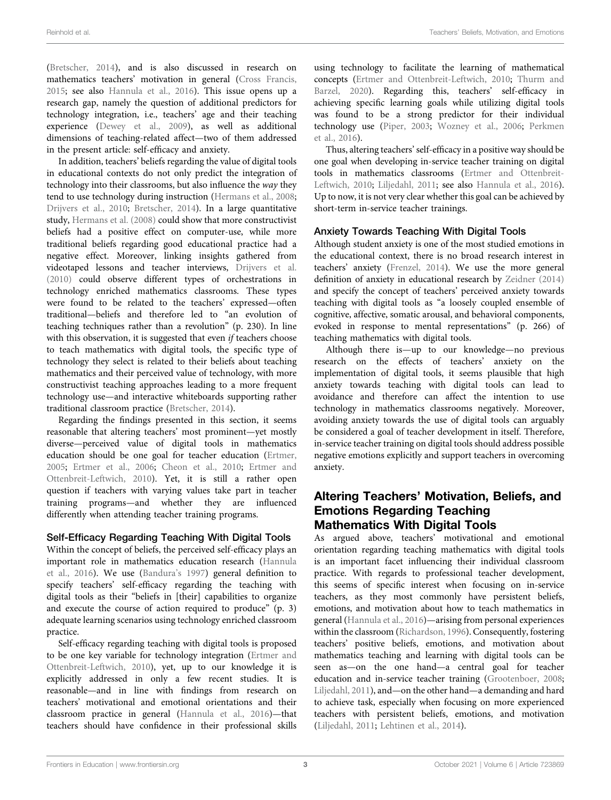([Bretscher, 2014\)](#page-10-3), and is also discussed in research on mathematics teachers' motivation in general ([Cross Francis,](#page-10-5) [2015](#page-10-5); see also [Hannula et al., 2016\)](#page-11-5). This issue opens up a research gap, namely the question of additional predictors for technology integration, i.e., teachers' age and their teaching experience ([Dewey et al., 2009\)](#page-10-6), as well as additional dimensions of teaching-related affect—two of them addressed in the present article: self-efficacy and anxiety.

In addition, teachers' beliefs regarding the value of digital tools in educational contexts do not only predict the integration of technology into their classrooms, but also influence the way they tend to use technology during instruction ([Hermans et al., 2008](#page-11-14); [Drijvers et al., 2010](#page-10-7); [Bretscher, 2014\)](#page-10-3). In a large quantitative study, [Hermans et al. \(2008\)](#page-11-14) could show that more constructivist beliefs had a positive effect on computer-use, while more traditional beliefs regarding good educational practice had a negative effect. Moreover, linking insights gathered from videotaped lessons and teacher interviews, [Drijvers et al.](#page-10-7) [\(2010\)](#page-10-7) could observe different types of orchestrations in technology enriched mathematics classrooms. These types were found to be related to the teachers' expressed—often traditional—beliefs and therefore led to "an evolution of teaching techniques rather than a revolution" (p. 230). In line with this observation, it is suggested that even *if* teachers choose to teach mathematics with digital tools, the specific type of technology they select is related to their beliefs about teaching mathematics and their perceived value of technology, with more constructivist teaching approaches leading to a more frequent technology use—and interactive whiteboards supporting rather traditional classroom practice [\(Bretscher, 2014](#page-10-3)).

Regarding the findings presented in this section, it seems reasonable that altering teachers' most prominent—yet mostly diverse—perceived value of digital tools in mathematics education should be one goal for teacher education [\(Ertmer,](#page-10-8) [2005](#page-10-8); [Ertmer et al., 2006](#page-10-9); [Cheon et al., 2010](#page-10-10); [Ertmer and](#page-10-11) [Ottenbreit-Leftwich, 2010\)](#page-10-11). Yet, it is still a rather open question if teachers with varying values take part in teacher training programs—and whether they are influenced differently when attending teacher training programs.

### <span id="page-3-0"></span>Self-Efficacy Regarding Teaching With Digital Tools

Within the concept of beliefs, the perceived self-efficacy plays an important role in mathematics education research [\(Hannula](#page-11-5) [et al., 2016\)](#page-11-5). We use [\(Bandura](#page-10-12)'s 1997) general definition to specify teachers' self-efficacy regarding the teaching with digital tools as their "beliefs in [their] capabilities to organize and execute the course of action required to produce" (p. 3) adequate learning scenarios using technology enriched classroom practice.

Self-efficacy regarding teaching with digital tools is proposed to be one key variable for technology integration ([Ertmer and](#page-10-11) [Ottenbreit-Leftwich, 2010\)](#page-10-11), yet, up to our knowledge it is explicitly addressed in only a few recent studies. It is reasonable—and in line with findings from research on teachers' motivational and emotional orientations and their classroom practice in general [\(Hannula et al., 2016](#page-11-5))—that teachers should have confidence in their professional skills

using technology to facilitate the learning of mathematical concepts [\(Ertmer and Ottenbreit-Leftwich, 2010](#page-10-11); [Thurm and](#page-11-13) [Barzel, 2020](#page-11-13)). Regarding this, teachers' self-efficacy in achieving specific learning goals while utilizing digital tools was found to be a strong predictor for their individual technology use [\(Piper, 2003;](#page-11-19) [Wozney et al., 2006;](#page-12-0) [Perkmen](#page-11-20) [et al., 2016](#page-11-20)).

Thus, altering teachers' self-efficacy in a positive way should be one goal when developing in-service teacher training on digital tools in mathematics classrooms ([Ertmer and Ottenbreit-](#page-10-11)[Leftwich, 2010;](#page-10-11) [Liljedahl, 2011](#page-11-21); see also [Hannula et al., 2016\)](#page-11-5). Up to now, it is not very clear whether this goal can be achieved by short-term in-service teacher trainings.

## <span id="page-3-1"></span>Anxiety Towards Teaching With Digital Tools

Although student anxiety is one of the most studied emotions in the educational context, there is no broad research interest in teachers' anxiety [\(Frenzel, 2014](#page-10-2)). We use the more general definition of anxiety in educational research by [Zeidner \(2014\)](#page-12-1) and specify the concept of teachers' perceived anxiety towards teaching with digital tools as "a loosely coupled ensemble of cognitive, affective, somatic arousal, and behavioral components, evoked in response to mental representations" (p. 266) of teaching mathematics with digital tools.

Although there is—up to our knowledge—no previous research on the effects of teachers' anxiety on the implementation of digital tools, it seems plausible that high anxiety towards teaching with digital tools can lead to avoidance and therefore can affect the intention to use technology in mathematics classrooms negatively. Moreover, avoiding anxiety towards the use of digital tools can arguably be considered a goal of teacher development in itself. Therefore, in-service teacher training on digital tools should address possible negative emotions explicitly and support teachers in overcoming anxiety.

## <span id="page-3-2"></span>Altering Teachers' Motivation, Beliefs, and Emotions Regarding Teaching Mathematics With Digital Tools

As argued above, teachers' motivational and emotional orientation regarding teaching mathematics with digital tools is an important facet influencing their individual classroom practice. With regards to professional teacher development, this seems of specific interest when focusing on in-service teachers, as they most commonly have persistent beliefs, emotions, and motivation about how to teach mathematics in general ([Hannula et al., 2016\)](#page-11-5)—arising from personal experiences within the classroom ([Richardson, 1996\)](#page-11-22). Consequently, fostering teachers' positive beliefs, emotions, and motivation about mathematics teaching and learning with digital tools can be seen as—on the one hand—a central goal for teacher education and in-service teacher training [\(Grootenboer, 2008;](#page-10-13) [Liljedahl, 2011\)](#page-11-21), and—on the other hand—a demanding and hard to achieve task, especially when focusing on more experienced teachers with persistent beliefs, emotions, and motivation [\(Liljedahl, 2011](#page-11-21); [Lehtinen et al., 2014](#page-11-23)).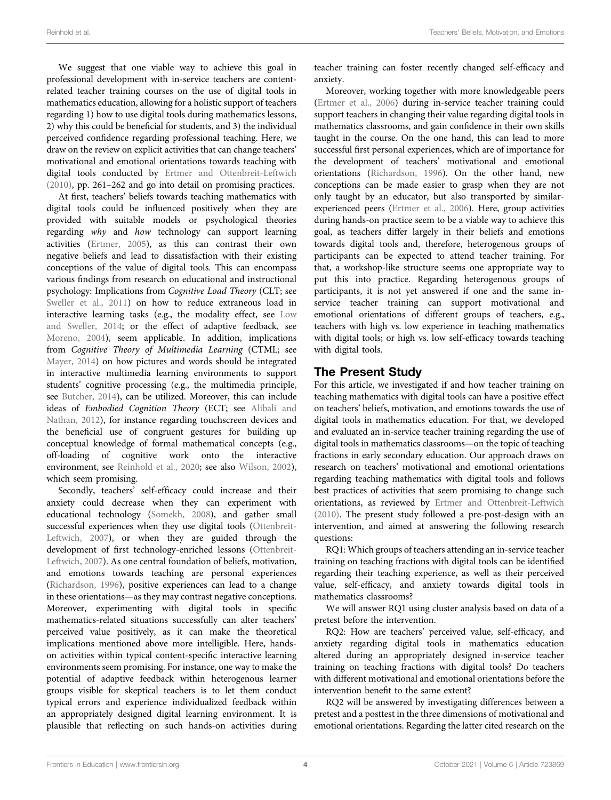We suggest that one viable way to achieve this goal in professional development with in-service teachers are contentrelated teacher training courses on the use of digital tools in mathematics education, allowing for a holistic support of teachers regarding 1) how to use digital tools during mathematics lessons, 2) why this could be beneficial for students, and 3) the individual perceived confidence regarding professional teaching. Here, we draw on the review on explicit activities that can change teachers' motivational and emotional orientations towards teaching with digital tools conducted by [Ertmer and Ottenbreit-Leftwich](#page-10-11) [\(2010\)](#page-10-11), pp. 261–262 and go into detail on promising practices.

At first, teachers' beliefs towards teaching mathematics with digital tools could be influenced positively when they are provided with suitable models or psychological theories regarding why and how technology can support learning activities ([Ertmer, 2005](#page-10-8)), as this can contrast their own negative beliefs and lead to dissatisfaction with their existing conceptions of the value of digital tools. This can encompass various findings from research on educational and instructional psychology: Implications from Cognitive Load Theory (CLT; see [Sweller et al., 2011](#page-11-24)) on how to reduce extraneous load in interactive learning tasks (e.g., the modality effect, see [Low](#page-11-25) [and Sweller, 2014;](#page-11-25) or the effect of adaptive feedback, see [Moreno, 2004\)](#page-11-26), seem applicable. In addition, implications from Cognitive Theory of Multimedia Learning (CTML; see [Mayer, 2014](#page-11-27)) on how pictures and words should be integrated in interactive multimedia learning environments to support students' cognitive processing (e.g., the multimedia principle, see [Butcher, 2014\)](#page-10-14), can be utilized. Moreover, this can include ideas of Embodied Cognition Theory (ECT; see [Alibali and](#page-10-15) [Nathan, 2012](#page-10-15)), for instance regarding touchscreen devices and the beneficial use of congruent gestures for building up conceptual knowledge of formal mathematical concepts (e.g., off-loading of cognitive work onto the interactive environment, see [Reinhold et al., 2020;](#page-11-28) see also [Wilson, 2002\)](#page-12-2), which seem promising.

Secondly, teachers' self-efficacy could increase and their anxiety could decrease when they can experiment with educational technology [\(Somekh, 2008](#page-11-29)), and gather small successful experiences when they use digital tools ([Ottenbreit-](#page-11-30)[Leftwich, 2007\)](#page-11-30), or when they are guided through the development of first technology-enriched lessons ([Ottenbreit-](#page-11-30)[Leftwich, 2007](#page-11-30)). As one central foundation of beliefs, motivation, and emotions towards teaching are personal experiences ([Richardson, 1996\)](#page-11-22), positive experiences can lead to a change in these orientations—as they may contrast negative conceptions. Moreover, experimenting with digital tools in specific mathematics-related situations successfully can alter teachers' perceived value positively, as it can make the theoretical implications mentioned above more intelligible. Here, handson activities within typical content-specific interactive learning environments seem promising. For instance, one way to make the potential of adaptive feedback within heterogenous learner groups visible for skeptical teachers is to let them conduct typical errors and experience individualized feedback within an appropriately designed digital learning environment. It is plausible that reflecting on such hands-on activities during teacher training can foster recently changed self-efficacy and anxiety.

Moreover, working together with more knowledgeable peers [\(Ertmer et al., 2006\)](#page-10-9) during in-service teacher training could support teachers in changing their value regarding digital tools in mathematics classrooms, and gain confidence in their own skills taught in the course. On the one hand, this can lead to more successful first personal experiences, which are of importance for the development of teachers' motivational and emotional orientations [\(Richardson, 1996](#page-11-22)). On the other hand, new conceptions can be made easier to grasp when they are not only taught by an educator, but also transported by similarexperienced peers [\(Ertmer et al., 2006\)](#page-10-9). Here, group activities during hands-on practice seem to be a viable way to achieve this goal, as teachers differ largely in their beliefs and emotions towards digital tools and, therefore, heterogenous groups of participants can be expected to attend teacher training. For that, a workshop-like structure seems one appropriate way to put this into practice. Regarding heterogenous groups of participants, it is not yet answered if one and the same inservice teacher training can support motivational and emotional orientations of different groups of teachers, e.g., teachers with high vs. low experience in teaching mathematics with digital tools; or high vs. low self-efficacy towards teaching with digital tools.

## The Present Study

For this article, we investigated if and how teacher training on teaching mathematics with digital tools can have a positive effect on teachers' beliefs, motivation, and emotions towards the use of digital tools in mathematics education. For that, we developed and evaluated an in-service teacher training regarding the use of digital tools in mathematics classrooms—on the topic of teaching fractions in early secondary education. Our approach draws on research on teachers' motivational and emotional orientations regarding teaching mathematics with digital tools and follows best practices of activities that seem promising to change such orientations, as reviewed by [Ertmer and Ottenbreit-Leftwich](#page-10-11) [\(2010\).](#page-10-11) The present study followed a pre-post-design with an intervention, and aimed at answering the following research questions:

RQ1: Which groups of teachers attending an in-service teacher training on teaching fractions with digital tools can be identified regarding their teaching experience, as well as their perceived value, self-efficacy, and anxiety towards digital tools in mathematics classrooms?

We will answer RQ1 using cluster analysis based on data of a pretest before the intervention.

RQ2: How are teachers' perceived value, self-efficacy, and anxiety regarding digital tools in mathematics education altered during an appropriately designed in-service teacher training on teaching fractions with digital tools? Do teachers with different motivational and emotional orientations before the intervention benefit to the same extent?

RQ2 will be answered by investigating differences between a pretest and a posttest in the three dimensions of motivational and emotional orientations. Regarding the latter cited research on the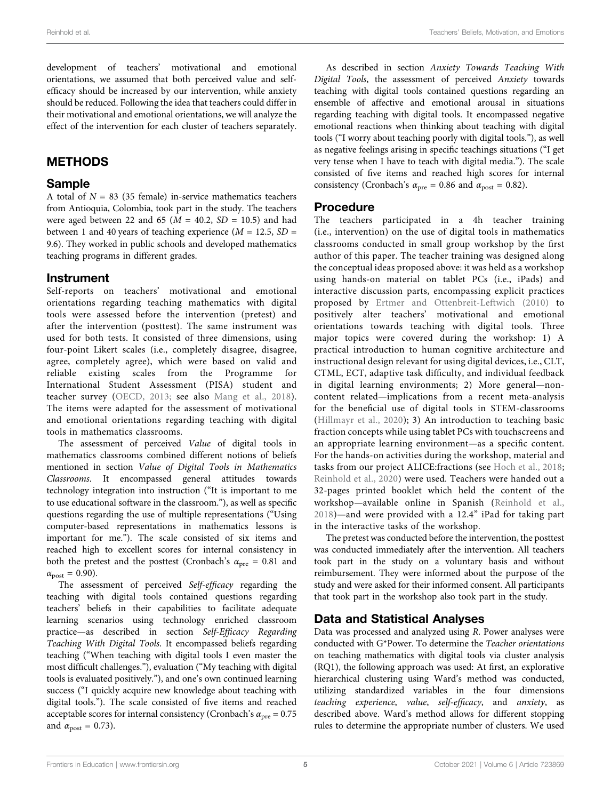development of teachers' motivational and emotional orientations, we assumed that both perceived value and selfefficacy should be increased by our intervention, while anxiety should be reduced. Following the idea that teachers could differ in their motivational and emotional orientations, we will analyze the effect of the intervention for each cluster of teachers separately.

## **METHODS**

#### Sample

A total of  $N = 83$  (35 female) in-service mathematics teachers from Antioquia, Colombia, took part in the study. The teachers were aged between 22 and 65 ( $M = 40.2$ ,  $SD = 10.5$ ) and had between 1 and 40 years of teaching experience  $(M = 12.5, SD =$ 9.6). They worked in public schools and developed mathematics teaching programs in different grades.

#### Instrument

Self-reports on teachers' motivational and emotional orientations regarding teaching mathematics with digital tools were assessed before the intervention (pretest) and after the intervention (posttest). The same instrument was used for both tests. It consisted of three dimensions, using four-point Likert scales (i.e., completely disagree, disagree, agree, completely agree), which were based on valid and reliable existing scales from the Programme for International Student Assessment (PISA) student and teacher survey ([OECD, 2013;](#page-11-31) see also [Mang et al., 2018\)](#page-11-32). The items were adapted for the assessment of motivational and emotional orientations regarding teaching with digital tools in mathematics classrooms.

The assessment of perceived Value of digital tools in mathematics classrooms combined different notions of beliefs mentioned in section [Value of Digital Tools in Mathematics](#page-2-0) [Classrooms](#page-2-0). It encompassed general attitudes towards technology integration into instruction ("It is important to me to use educational software in the classroom."), as well as specific questions regarding the use of multiple representations ("Using computer-based representations in mathematics lessons is important for me."). The scale consisted of six items and reached high to excellent scores for internal consistency in both the pretest and the posttest (Cronbach's  $\alpha_{pre} = 0.81$  and  $\alpha_{\text{post}} = 0.90$ ).

The assessment of perceived Self-efficacy regarding the teaching with digital tools contained questions regarding teachers' beliefs in their capabilities to facilitate adequate learning scenarios using technology enriched classroom practice—as described in section Self-Effi[cacy Regarding](#page-3-0) [Teaching With Digital Tools](#page-3-0). It encompassed beliefs regarding teaching ("When teaching with digital tools I even master the most difficult challenges."), evaluation ("My teaching with digital tools is evaluated positively."), and one's own continued learning success ("I quickly acquire new knowledge about teaching with digital tools."). The scale consisted of five items and reached acceptable scores for internal consistency (Cronbach's  $\alpha_{pre} = 0.75$ and  $\alpha_{\text{post}} = 0.73$ ).

As described in section [Anxiety Towards Teaching With](#page-3-1) [Digital Tools](#page-3-1), the assessment of perceived Anxiety towards teaching with digital tools contained questions regarding an ensemble of affective and emotional arousal in situations regarding teaching with digital tools. It encompassed negative emotional reactions when thinking about teaching with digital tools ("I worry about teaching poorly with digital tools."), as well as negative feelings arising in specific teachings situations ("I get very tense when I have to teach with digital media."). The scale consisted of five items and reached high scores for internal consistency (Cronbach's  $\alpha_{pre} = 0.86$  and  $\alpha_{post} = 0.82$ ).

#### Procedure

The teachers participated in a 4h teacher training (i.e., intervention) on the use of digital tools in mathematics classrooms conducted in small group workshop by the first author of this paper. The teacher training was designed along the conceptual ideas proposed above: it was held as a workshop using hands-on material on tablet PCs (i.e., iPads) and interactive discussion parts, encompassing explicit practices proposed by [Ertmer and Ottenbreit-Leftwich \(2010\)](#page-10-11) to positively alter teachers' motivational and emotional orientations towards teaching with digital tools. Three major topics were covered during the workshop: 1) A practical introduction to human cognitive architecture and instructional design relevant for using digital devices, i.e., CLT, CTML, ECT, adaptive task difficulty, and individual feedback in digital learning environments; 2) More general—noncontent related—implications from a recent meta-analysis for the beneficial use of digital tools in STEM-classrooms ([Hillmayr et al., 2020\)](#page-11-33); 3) An introduction to teaching basic fraction concepts while using tablet PCs with touchscreens and an appropriate learning environment—as a specific content. For the hands-on activities during the workshop, material and tasks from our project ALICE:fractions (see [Hoch et al., 2018;](#page-11-34) [Reinhold et al., 2020\)](#page-11-28) were used. Teachers were handed out a 32-pages printed booklet which held the content of the workshop—available online in Spanish ([Reinhold et al.,](#page-11-35) [2018](#page-11-35))—and were provided with a 12.4" iPad for taking part in the interactive tasks of the workshop.

The pretest was conducted before the intervention, the posttest was conducted immediately after the intervention. All teachers took part in the study on a voluntary basis and without reimbursement. They were informed about the purpose of the study and were asked for their informed consent. All participants that took part in the workshop also took part in the study.

## Data and Statistical Analyses

Data was processed and analyzed using R. Power analyses were conducted with G\*Power. To determine the Teacher orientations on teaching mathematics with digital tools via cluster analysis (RQ1), the following approach was used: At first, an explorative hierarchical clustering using Ward's method was conducted, utilizing standardized variables in the four dimensions teaching experience, value, self-efficacy, and anxiety, as described above. Ward's method allows for different stopping rules to determine the appropriate number of clusters. We used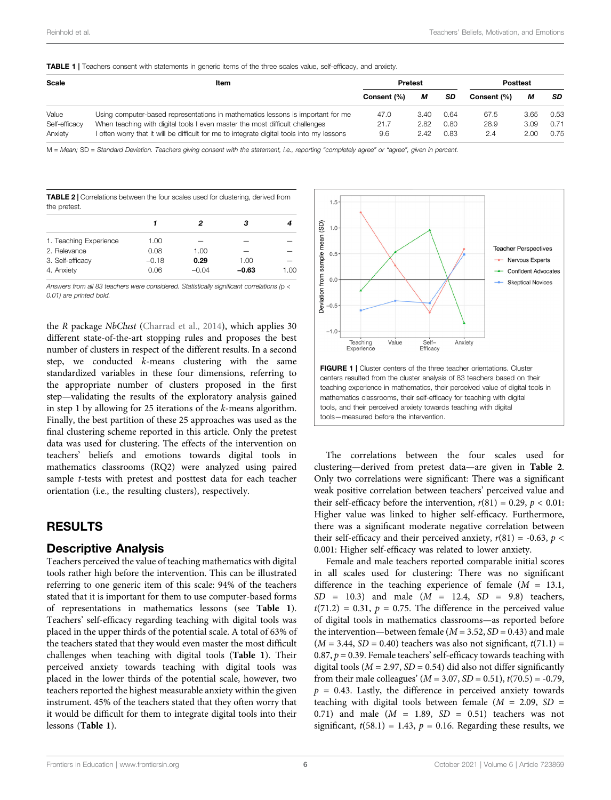<span id="page-6-0"></span>TABLE 1 | Teachers consent with statements in generic items of the three scales value, self-efficacy, and anxiety.

| Scale         | ltem                                                                                      | <b>Pretest</b> |      |      | <b>Posttest</b> |      |      |
|---------------|-------------------------------------------------------------------------------------------|----------------|------|------|-----------------|------|------|
|               |                                                                                           | Consent (%)    | М    | SD   | Consent (%)     | м    | SD   |
| Value         | Using computer-based representations in mathematics lessons is important for me           | 47.0           | 3.40 | 0.64 | 67.5            | 3.65 | 0.53 |
| Self-efficacy | When teaching with digital tools I even master the most difficult challenges              | 21.7           | 2.82 | 0.80 | 28.9            | 3.09 | 0.71 |
| Anxiety       | I often worry that it will be difficult for me to integrate digital tools into my lessons | 9.6            | 2.42 | 0.83 | 2.4             | 2.00 | 0.75 |

M = Mean; SD = Standard Deviation. Teachers giving consent with the statement, i.e., reporting "completely agree" or "agree", given in percent.

<span id="page-6-1"></span>

|              |  |  |  | <b>TABLE 2</b> Correlations between the four scales used for clustering, derived from |
|--------------|--|--|--|---------------------------------------------------------------------------------------|
| the pretest. |  |  |  |                                                                                       |

|                        |         | 2       | з       |      |
|------------------------|---------|---------|---------|------|
|                        |         |         |         |      |
| 1. Teaching Experience | 1.00    |         | -       |      |
| 2. Relevance           | 0.08    | 1.00    | -       |      |
| 3. Self-efficacy       | $-0.18$ | 0.29    | 1.00    |      |
| 4. Anxiety             | 0.06    | $-0.04$ | $-0.63$ | 1.00 |

Answers from all 83 teachers were considered. Statistically significant correlations (p < 0.01) are printed bold.

the R package NbClust [\(Charrad et al., 2014\)](#page-10-16), which applies 30 different state-of-the-art stopping rules and proposes the best number of clusters in respect of the different results. In a second step, we conducted k-means clustering with the same standardized variables in these four dimensions, referring to the appropriate number of clusters proposed in the first step—validating the results of the exploratory analysis gained in step 1 by allowing for 25 iterations of the k-means algorithm. Finally, the best partition of these 25 approaches was used as the final clustering scheme reported in this article. Only the pretest data was used for clustering. The effects of the intervention on teachers' beliefs and emotions towards digital tools in mathematics classrooms (RQ2) were analyzed using paired sample t-tests with pretest and posttest data for each teacher orientation (i.e., the resulting clusters), respectively.

## RESULTS

#### <span id="page-6-3"></span>Descriptive Analysis

Teachers perceived the value of teaching mathematics with digital tools rather high before the intervention. This can be illustrated referring to one generic item of this scale: 94% of the teachers stated that it is important for them to use computer-based forms of representations in mathematics lessons (see [Table 1](#page-6-0)). Teachers' self-efficacy regarding teaching with digital tools was placed in the upper thirds of the potential scale. A total of 63% of the teachers stated that they would even master the most difficult challenges when teaching with digital tools ([Table 1](#page-6-0)). Their perceived anxiety towards teaching with digital tools was placed in the lower thirds of the potential scale, however, two teachers reported the highest measurable anxiety within the given instrument. 45% of the teachers stated that they often worry that it would be difficult for them to integrate digital tools into their lessons ([Table 1](#page-6-0)).



<span id="page-6-2"></span>The correlations between the four scales used for clustering—derived from pretest data—are given in [Table 2](#page-6-1). Only two correlations were significant: There was a significant weak positive correlation between teachers' perceived value and their self-efficacy before the intervention,  $r(81) = 0.29$ ,  $p < 0.01$ : Higher value was linked to higher self-efficacy. Furthermore, there was a significant moderate negative correlation between their self-efficacy and their perceived anxiety,  $r(81) = -0.63$ ,  $p <$ 0.001: Higher self-efficacy was related to lower anxiety.

Female and male teachers reported comparable initial scores in all scales used for clustering: There was no significant difference in the teaching experience of female  $(M = 13.1,$  $SD = 10.3$  and male  $(M = 12.4, SD = 9.8)$  teachers,  $t(71.2) = 0.31$ ,  $p = 0.75$ . The difference in the perceived value of digital tools in mathematics classrooms—as reported before the intervention—between female ( $M = 3.52$ ,  $SD = 0.43$ ) and male  $(M = 3.44, SD = 0.40)$  teachers was also not significant,  $t(71.1) =$ 0.87,  $p = 0.39$ . Female teachers' self-efficacy towards teaching with digital tools ( $M = 2.97$ ,  $SD = 0.54$ ) did also not differ significantly from their male colleagues' ( $M = 3.07$ ,  $SD = 0.51$ ),  $t(70.5) = -0.79$ ,  $p = 0.43$ . Lastly, the difference in perceived anxiety towards teaching with digital tools between female ( $M = 2.09$ ,  $SD =$ 0.71) and male  $(M = 1.89, SD = 0.51)$  teachers was not significant,  $t(58.1) = 1.43$ ,  $p = 0.16$ . Regarding these results, we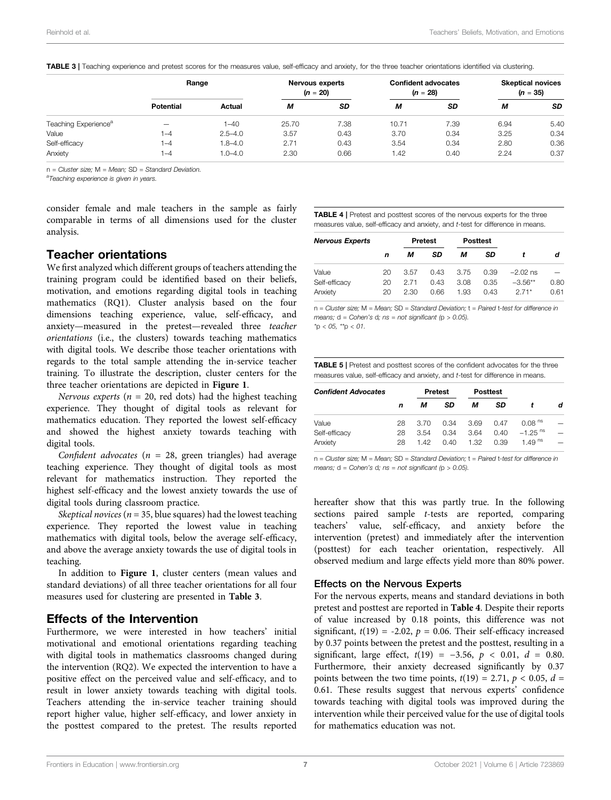|                                  | Range            |             | Nervous experts<br>$(n = 20)$ |           | <b>Confident advocates</b><br>$(n = 28)$ |           | <b>Skeptical novices</b><br>$(n = 35)$ |           |
|----------------------------------|------------------|-------------|-------------------------------|-----------|------------------------------------------|-----------|----------------------------------------|-----------|
|                                  | <b>Potential</b> | Actual      | М                             | <b>SD</b> | М                                        | <b>SD</b> | М                                      | <b>SD</b> |
| Teaching Experience <sup>a</sup> | -                | $1 - 40$    | 25.70                         | 7.38      | 10.71                                    | 7.39      | 6.94                                   | 5.40      |
| Value                            | $-4$             | $2.5 - 4.0$ | 3.57                          | 0.43      | 3.70                                     | 0.34      | 3.25                                   | 0.34      |
| Self-efficacy                    | 1–4              | $1.8 - 4.0$ | 2.71                          | 0.43      | 3.54                                     | 0.34      | 2.80                                   | 0.36      |
| Anxiety                          | $1 - 4$          | $1.0 - 4.0$ | 2.30                          | 0.66      | 1.42                                     | 0.40      | 2.24                                   | 0.37      |

<span id="page-7-0"></span>TABLE 3 | Teaching experience and pretest scores for the measures value, self-efficacy and anxiety, for the three teacher orientations identified via clustering.

n = Cluster size; M = Mean; SD = Standard Deviation.<br><sup>a</sup>Teaching experience is given in years.

consider female and male teachers in the sample as fairly comparable in terms of all dimensions used for the cluster analysis.

## Teacher orientations

We first analyzed which different groups of teachers attending the training program could be identified based on their beliefs, motivation, and emotions regarding digital tools in teaching mathematics (RQ1). Cluster analysis based on the four dimensions teaching experience, value, self-efficacy, and anxiety—measured in the pretest—revealed three teacher orientations (i.e., the clusters) towards teaching mathematics with digital tools. We describe those teacher orientations with regards to the total sample attending the in-service teacher training. To illustrate the description, cluster centers for the three teacher orientations are depicted in [Figure 1](#page-6-2).

Nervous experts ( $n = 20$ , red dots) had the highest teaching experience. They thought of digital tools as relevant for mathematics education. They reported the lowest self-efficacy and showed the highest anxiety towards teaching with digital tools.

Confident advocates ( $n = 28$ , green triangles) had average teaching experience. They thought of digital tools as most relevant for mathematics instruction. They reported the highest self-efficacy and the lowest anxiety towards the use of digital tools during classroom practice.

Skeptical novices ( $n = 35$ , blue squares) had the lowest teaching experience. They reported the lowest value in teaching mathematics with digital tools, below the average self-efficacy, and above the average anxiety towards the use of digital tools in teaching.

In addition to [Figure 1](#page-6-2), cluster centers (mean values and standard deviations) of all three teacher orientations for all four measures used for clustering are presented in [Table 3](#page-7-0).

## Effects of the Intervention

Furthermore, we were interested in how teachers' initial motivational and emotional orientations regarding teaching with digital tools in mathematics classrooms changed during the intervention (RQ2). We expected the intervention to have a positive effect on the perceived value and self-efficacy, and to result in lower anxiety towards teaching with digital tools. Teachers attending the in-service teacher training should report higher value, higher self-efficacy, and lower anxiety in the posttest compared to the pretest. The results reported

<span id="page-7-1"></span>TABLE 4 | Pretest and posttest scores of the nervous experts for the three measures value, self-efficacy and anxiety, and t-test for difference in means.

| <b>Nervous Experts</b> |    |      | <b>Pretest</b> |      | <b>Posttest</b> |            |      |
|------------------------|----|------|----------------|------|-----------------|------------|------|
|                        | n  | м    | SD             | м    | SD              |            | d    |
| Value                  | 20 | 3.57 | 0.43           | 3.75 | 0.39            | $-2.02$ ns |      |
| Self-efficacy          | 20 | 271  | 0.43           | 3.08 | 0.35            | $-3.56**$  | 0.80 |
| Anxiety                | 20 | 2.30 | 0.66           | 1.93 | 0.43            | $271*$     | 0.61 |

 $n = Cluster size$ ;  $M = Mean$ ;  $SD = Standard Deviation$ ;  $t = Paired$  t-test for difference in means;  $d = Cohen's d; ns = not significant (p > 0.05).$  $*p < 05$ ,  $*p < 01$ .

<span id="page-7-2"></span>TABLE 5 | Pretest and posttest scores of the confident advocates for the three measures value, self-efficacy and anxiety, and t-test for difference in means.

| <b>Confident Advocates</b> |    |      | <b>Pretest</b> |      | <b>Posttest</b> |                       |   |
|----------------------------|----|------|----------------|------|-----------------|-----------------------|---|
|                            | n  | м    | SD             | м    | SD              |                       | d |
| Value                      | 28 | 3.70 | 0.34           | 3.69 | 0.47            | 0.08 <sup>ns</sup>    |   |
| Self-efficacy              | 28 | 3.54 | 0.34           | 364  | 0.40            | $-1$ 25 <sup>ns</sup> | - |
| Anxiety                    | 28 | 142  | 0.40           | 1.32 | 0.39            | 1.49 $^{\text{ns}}$   |   |

 $n =$  Cluster size;  $M =$  Mean; SD = Standard Deviation;  $t =$  Paired t-test for difference in means;  $d = Cohen's d$ ; ns = not significant (p > 0.05).

hereafter show that this was partly true. In the following sections paired sample t-tests are reported, comparing teachers' value, self-efficacy, and anxiety before the intervention (pretest) and immediately after the intervention (posttest) for each teacher orientation, respectively. All observed medium and large effects yield more than 80% power.

#### Effects on the Nervous Experts

For the nervous experts, means and standard deviations in both pretest and posttest are reported in [Table 4](#page-7-1). Despite their reports of value increased by 0.18 points, this difference was not significant,  $t(19) = -2.02$ ,  $p = 0.06$ . Their self-efficacy increased by 0.37 points between the pretest and the posttest, resulting in a significant, large effect,  $t(19) = -3.56$ ,  $p < 0.01$ ,  $d = 0.80$ . Furthermore, their anxiety decreased significantly by 0.37 points between the two time points,  $t(19) = 2.71$ ,  $p < 0.05$ ,  $d =$ 0.61. These results suggest that nervous experts' confidence towards teaching with digital tools was improved during the intervention while their perceived value for the use of digital tools for mathematics education was not.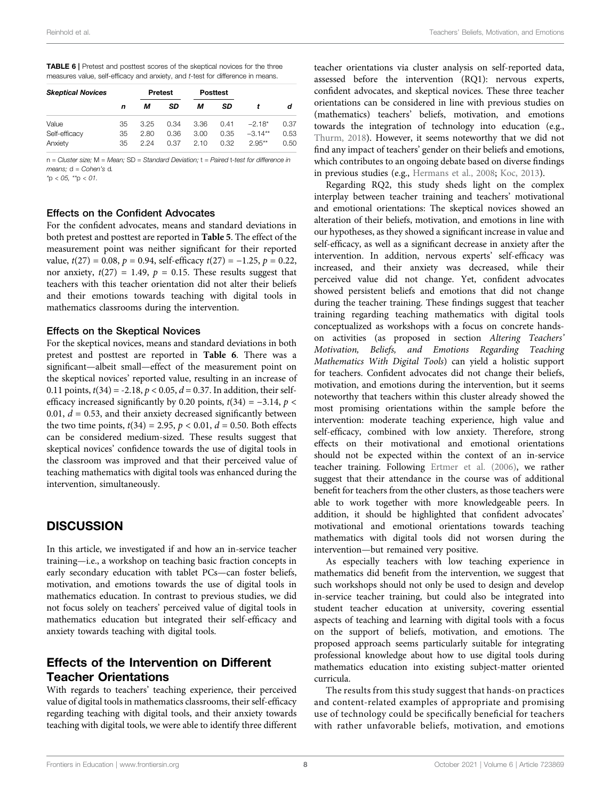<span id="page-8-0"></span>

| <b>TABLE 6</b>   Pretest and posttest scores of the skeptical novices for the three |
|-------------------------------------------------------------------------------------|
| measures value, self-efficacy and anxiety, and t-test for difference in means.      |

| <b>Skeptical Novices</b> |    | <b>Pretest</b> |      |      | <b>Posttest</b> |           |      |
|--------------------------|----|----------------|------|------|-----------------|-----------|------|
|                          | n  | м              | SD   | м    | SD              |           | d    |
| Value                    | 35 | 3.25           | 0.34 | 3.36 | 0.41            | $-2.18*$  | 0.37 |
| Self-efficacy            | 35 | 2.80           | 0.36 | 3.00 | 0.35            | $-3.14**$ | 0.53 |
| Anxiety                  | 35 | 2 24           | 0.37 | 2.10 | 0.32            | $2.95***$ | 0.50 |

 $n = Cluster size$ ;  $M = Mean$ ;  $SD = Standard Deviation$ ;  $t = Paired$  t-test for difference in means;  $d = Cohen's$  d.

 $*p < 05$ ,  $*p < 01$ .

#### Effects on the Confident Advocates

For the confident advocates, means and standard deviations in both pretest and posttest are reported in [Table 5](#page-7-2). The effect of the measurement point was neither significant for their reported value,  $t(27) = 0.08$ ,  $p = 0.94$ , self-efficacy  $t(27) = -1.25$ ,  $p = 0.22$ , nor anxiety,  $t(27) = 1.49$ ,  $p = 0.15$ . These results suggest that teachers with this teacher orientation did not alter their beliefs and their emotions towards teaching with digital tools in mathematics classrooms during the intervention.

#### Effects on the Skeptical Novices

For the skeptical novices, means and standard deviations in both pretest and posttest are reported in [Table 6](#page-8-0). There was a significant—albeit small—effect of the measurement point on the skeptical novices' reported value, resulting in an increase of 0.11 points,  $t(34) = -2.18$ ,  $p < 0.05$ ,  $d = 0.37$ . In addition, their selfefficacy increased significantly by 0.20 points,  $t(34) = -3.14$ ,  $p <$ 0.01,  $d = 0.53$ , and their anxiety decreased significantly between the two time points,  $t(34) = 2.95$ ,  $p < 0.01$ ,  $d = 0.50$ . Both effects can be considered medium-sized. These results suggest that skeptical novices' confidence towards the use of digital tools in the classroom was improved and that their perceived value of teaching mathematics with digital tools was enhanced during the intervention, simultaneously.

## **DISCUSSION**

In this article, we investigated if and how an in-service teacher training—i.e., a workshop on teaching basic fraction concepts in early secondary education with tablet PCs—can foster beliefs, motivation, and emotions towards the use of digital tools in mathematics education. In contrast to previous studies, we did not focus solely on teachers' perceived value of digital tools in mathematics education but integrated their self-efficacy and anxiety towards teaching with digital tools.

# Effects of the Intervention on Different Teacher Orientations

With regards to teachers' teaching experience, their perceived value of digital tools in mathematics classrooms, their self-efficacy regarding teaching with digital tools, and their anxiety towards teaching with digital tools, we were able to identify three different teacher orientations via cluster analysis on self-reported data, assessed before the intervention (RQ1): nervous experts, confident advocates, and skeptical novices. These three teacher orientations can be considered in line with previous studies on (mathematics) teachers' beliefs, motivation, and emotions towards the integration of technology into education (e.g., [Thurm, 2018\)](#page-11-18). However, it seems noteworthy that we did not find any impact of teachers' gender on their beliefs and emotions, which contributes to an ongoing debate based on diverse findings in previous studies (e.g., [Hermans et al., 2008](#page-11-14); [Koc, 2013\)](#page-11-11).

Regarding RQ2, this study sheds light on the complex interplay between teacher training and teachers' motivational and emotional orientations: The skeptical novices showed an alteration of their beliefs, motivation, and emotions in line with our hypotheses, as they showed a significant increase in value and self-efficacy, as well as a significant decrease in anxiety after the intervention. In addition, nervous experts' self-efficacy was increased, and their anxiety was decreased, while their perceived value did not change. Yet, confident advocates showed persistent beliefs and emotions that did not change during the teacher training. These findings suggest that teacher training regarding teaching mathematics with digital tools conceptualized as workshops with a focus on concrete handson activities (as proposed in section [Altering Teachers](#page-3-2)' [Motivation, Beliefs, and Emotions Regarding Teaching](#page-3-2) [Mathematics With Digital Tools](#page-3-2)) can yield a holistic support for teachers. Confident advocates did not change their beliefs, motivation, and emotions during the intervention, but it seems noteworthy that teachers within this cluster already showed the most promising orientations within the sample before the intervention: moderate teaching experience, high value and self-efficacy, combined with low anxiety. Therefore, strong effects on their motivational and emotional orientations should not be expected within the context of an in-service teacher training. Following [Ertmer et al. \(2006\)](#page-10-9), we rather suggest that their attendance in the course was of additional benefit for teachers from the other clusters, as those teachers were able to work together with more knowledgeable peers. In addition, it should be highlighted that confident advocates' motivational and emotional orientations towards teaching mathematics with digital tools did not worsen during the intervention—but remained very positive.

As especially teachers with low teaching experience in mathematics did benefit from the intervention, we suggest that such workshops should not only be used to design and develop in-service teacher training, but could also be integrated into student teacher education at university, covering essential aspects of teaching and learning with digital tools with a focus on the support of beliefs, motivation, and emotions. The proposed approach seems particularly suitable for integrating professional knowledge about how to use digital tools during mathematics education into existing subject-matter oriented curricula.

The results from this study suggest that hands-on practices and content-related examples of appropriate and promising use of technology could be specifically beneficial for teachers with rather unfavorable beliefs, motivation, and emotions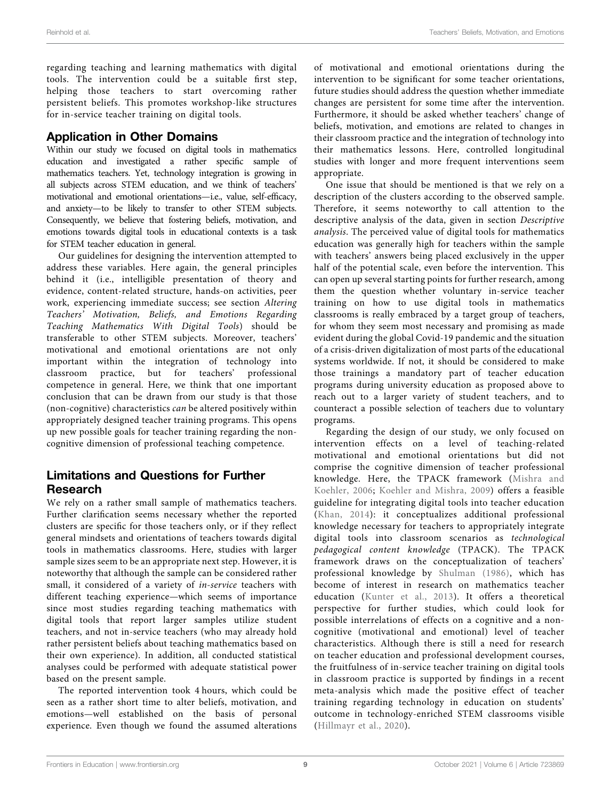regarding teaching and learning mathematics with digital tools. The intervention could be a suitable first step, helping those teachers to start overcoming rather persistent beliefs. This promotes workshop-like structures for in-service teacher training on digital tools.

## Application in Other Domains

Within our study we focused on digital tools in mathematics education and investigated a rather specific sample of mathematics teachers. Yet, technology integration is growing in all subjects across STEM education, and we think of teachers' motivational and emotional orientations—i.e., value, self-efficacy, and anxiety—to be likely to transfer to other STEM subjects. Consequently, we believe that fostering beliefs, motivation, and emotions towards digital tools in educational contexts is a task for STEM teacher education in general.

Our guidelines for designing the intervention attempted to address these variables. Here again, the general principles behind it (i.e., intelligible presentation of theory and evidence, content-related structure, hands-on activities, peer work, experiencing immediate success; see section [Altering](#page-3-2) Teachers' [Motivation, Beliefs, and Emotions Regarding](#page-3-2) [Teaching Mathematics With Digital Tools](#page-3-2)) should be transferable to other STEM subjects. Moreover, teachers' motivational and emotional orientations are not only important within the integration of technology into classroom practice, but for teachers' professional competence in general. Here, we think that one important conclusion that can be drawn from our study is that those (non-cognitive) characteristics can be altered positively within appropriately designed teacher training programs. This opens up new possible goals for teacher training regarding the noncognitive dimension of professional teaching competence.

## Limitations and Questions for Further Research

We rely on a rather small sample of mathematics teachers. Further clarification seems necessary whether the reported clusters are specific for those teachers only, or if they reflect general mindsets and orientations of teachers towards digital tools in mathematics classrooms. Here, studies with larger sample sizes seem to be an appropriate next step. However, it is noteworthy that although the sample can be considered rather small, it considered of a variety of in-service teachers with different teaching experience—which seems of importance since most studies regarding teaching mathematics with digital tools that report larger samples utilize student teachers, and not in-service teachers (who may already hold rather persistent beliefs about teaching mathematics based on their own experience). In addition, all conducted statistical analyses could be performed with adequate statistical power based on the present sample.

The reported intervention took 4 hours, which could be seen as a rather short time to alter beliefs, motivation, and emotions—well established on the basis of personal experience. Even though we found the assumed alterations of motivational and emotional orientations during the intervention to be significant for some teacher orientations, future studies should address the question whether immediate changes are persistent for some time after the intervention. Furthermore, it should be asked whether teachers' change of beliefs, motivation, and emotions are related to changes in their classroom practice and the integration of technology into their mathematics lessons. Here, controlled longitudinal studies with longer and more frequent interventions seem appropriate.

One issue that should be mentioned is that we rely on a description of the clusters according to the observed sample. Therefore, it seems noteworthy to call attention to the descriptive analysis of the data, given in section [Descriptive](#page-6-3) [analysis](#page-6-3). The perceived value of digital tools for mathematics education was generally high for teachers within the sample with teachers' answers being placed exclusively in the upper half of the potential scale, even before the intervention. This can open up several starting points for further research, among them the question whether voluntary in-service teacher training on how to use digital tools in mathematics classrooms is really embraced by a target group of teachers, for whom they seem most necessary and promising as made evident during the global Covid-19 pandemic and the situation of a crisis-driven digitalization of most parts of the educational systems worldwide. If not, it should be considered to make those trainings a mandatory part of teacher education programs during university education as proposed above to reach out to a larger variety of student teachers, and to counteract a possible selection of teachers due to voluntary programs.

Regarding the design of our study, we only focused on intervention effects on a level of teaching-related motivational and emotional orientations but did not comprise the cognitive dimension of teacher professional knowledge. Here, the TPACK framework ([Mishra and](#page-11-36) [Koehler, 2006](#page-11-36); [Koehler and Mishra, 2009\)](#page-11-37) offers a feasible guideline for integrating digital tools into teacher education ([Khan, 2014](#page-11-38)): it conceptualizes additional professional knowledge necessary for teachers to appropriately integrate digital tools into classroom scenarios as technological pedagogical content knowledge (TPACK). The TPACK framework draws on the conceptualization of teachers' professional knowledge by [Shulman \(1986\),](#page-11-39) which has become of interest in research on mathematics teacher education ([Kunter et al., 2013\)](#page-11-40). It offers a theoretical perspective for further studies, which could look for possible interrelations of effects on a cognitive and a noncognitive (motivational and emotional) level of teacher characteristics. Although there is still a need for research on teacher education and professional development courses, the fruitfulness of in-service teacher training on digital tools in classroom practice is supported by findings in a recent meta-analysis which made the positive effect of teacher training regarding technology in education on students' outcome in technology-enriched STEM classrooms visible ([Hillmayr et al., 2020](#page-11-33)).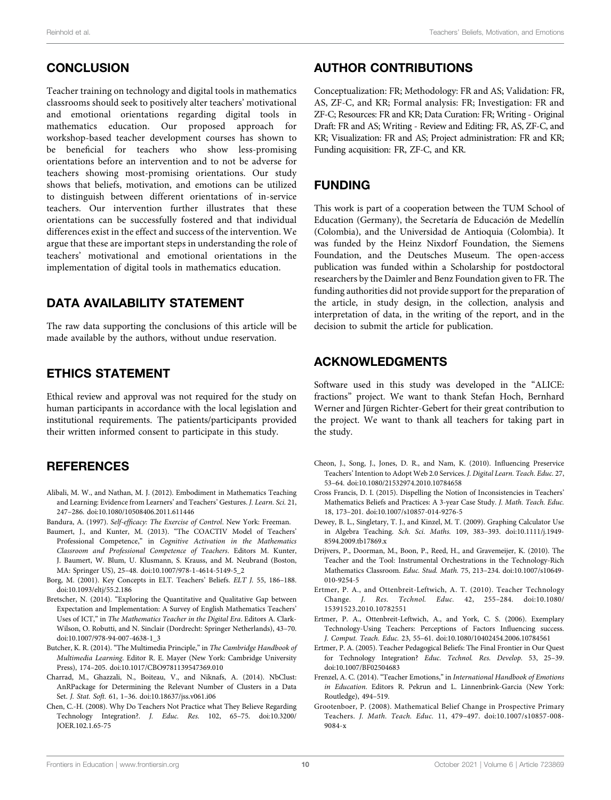## **CONCLUSION**

Teacher training on technology and digital tools in mathematics classrooms should seek to positively alter teachers' motivational and emotional orientations regarding digital tools in mathematics education. Our proposed approach for workshop-based teacher development courses has shown to be beneficial for teachers who show less-promising orientations before an intervention and to not be adverse for teachers showing most-promising orientations. Our study shows that beliefs, motivation, and emotions can be utilized to distinguish between different orientations of in-service teachers. Our intervention further illustrates that these orientations can be successfully fostered and that individual differences exist in the effect and success of the intervention. We argue that these are important steps in understanding the role of teachers' motivational and emotional orientations in the implementation of digital tools in mathematics education.

## DATA AVAILABILITY STATEMENT

The raw data supporting the conclusions of this article will be made available by the authors, without undue reservation.

## ETHICS STATEMENT

Ethical review and approval was not required for the study on human participants in accordance with the local legislation and institutional requirements. The patients/participants provided their written informed consent to participate in this study.

## **REFERENCES**

- <span id="page-10-15"></span>Alibali, M. W., and Nathan, M. J. (2012). Embodiment in Mathematics Teaching and Learning: Evidence from Learners' and Teachers' Gestures. J. Learn. Sci. 21, 247–286. doi:[10.1080/10508406.2011.611446](https://doi.org/10.1080/10508406.2011.611446)
- <span id="page-10-12"></span>Bandura, A. (1997). Self-efficacy: The Exercise of Control. New York: Freeman.
- <span id="page-10-0"></span>Baumert, J., and Kunter, M. (2013). "The COACTIV Model of Teachers' Professional Competence," in Cognitive Activation in the Mathematics Classroom and Professional Competence of Teachers. Editors M. Kunter, J. Baumert, W. Blum, U. Klusmann, S. Krauss, and M. Neubrand (Boston, MA: Springer US), 25–48. doi[:10.1007/978-1-4614-5149-5\\_2](https://doi.org/10.1007/978-1-4614-5149-5_2)
- <span id="page-10-1"></span>Borg, M. (2001). Key Concepts in ELT. Teachers' Beliefs. ELT J. 55, 186–188. doi:[10.1093/eltj/55.2.186](https://doi.org/10.1093/eltj/55.2.186)
- <span id="page-10-3"></span>Bretscher, N. (2014). "Exploring the Quantitative and Qualitative Gap between Expectation and Implementation: A Survey of English Mathematics Teachers' Uses of ICT," in The Mathematics Teacher in the Digital Era. Editors A. Clark-Wilson, O. Robutti, and N. Sinclair (Dordrecht: Springer Netherlands), 43–70. doi:[10.1007/978-94-007-4638-1\\_3](https://doi.org/10.1007/978-94-007-4638-1_3)
- <span id="page-10-14"></span>Butcher, K. R. (2014). "The Multimedia Principle," in The Cambridge Handbook of Multimedia Learning. Editor R. E. Mayer (New York: Cambridge University Press), 174–205. doi[:10.1017/CBO9781139547369.010](https://doi.org/10.1017/CBO9781139547369.010)
- <span id="page-10-16"></span>Charrad, M., Ghazzali, N., Boiteau, V., and Niknafs, A. (2014). NbClust: AnRPackage for Determining the Relevant Number of Clusters in a Data Set. J. Stat. Soft. 61, 1–36. doi[:10.18637/jss.v061.i06](https://doi.org/10.18637/jss.v061.i06)
- <span id="page-10-4"></span>Chen, C.-H. (2008). Why Do Teachers Not Practice what They Believe Regarding Technology Integration?. J. Educ. Res. 102, 65–75. doi:[10.3200/](https://doi.org/10.3200/JOER.102.1.65-75) [JOER.102.1.65-75](https://doi.org/10.3200/JOER.102.1.65-75)

## AUTHOR CONTRIBUTIONS

Conceptualization: FR; Methodology: FR and AS; Validation: FR, AS, ZF-C, and KR; Formal analysis: FR; Investigation: FR and ZF-C; Resources: FR and KR; Data Curation: FR; Writing - Original Draft: FR and AS; Writing - Review and Editing: FR, AS, ZF-C, and KR; Visualization: FR and AS; Project administration: FR and KR; Funding acquisition: FR, ZF-C, and KR.

## FUNDING

This work is part of a cooperation between the TUM School of Education (Germany), the Secretaría de Educación de Medellín (Colombia), and the Universidad de Antioquia (Colombia). It was funded by the Heinz Nixdorf Foundation, the Siemens Foundation, and the Deutsches Museum. The open-access publication was funded within a Scholarship for postdoctoral researchers by the Daimler and Benz Foundation given to FR. The funding authorities did not provide support for the preparation of the article, in study design, in the collection, analysis and interpretation of data, in the writing of the report, and in the decision to submit the article for publication.

## ACKNOWLEDGMENTS

Software used in this study was developed in the "ALICE: fractions" project. We want to thank Stefan Hoch, Bernhard Werner and Jürgen Richter-Gebert for their great contribution to the project. We want to thank all teachers for taking part in the study.

- <span id="page-10-10"></span>Cheon, J., Song, J., Jones, D. R., and Nam, K. (2010). Influencing Preservice Teachers' Intention to Adopt Web 2.0 Services. J. Digital Learn. Teach. Educ. 27, 53–64. doi:[10.1080/21532974.2010.10784658](https://doi.org/10.1080/21532974.2010.10784658)
- <span id="page-10-5"></span>Cross Francis, D. I. (2015). Dispelling the Notion of Inconsistencies in Teachers' Mathematics Beliefs and Practices: A 3-year Case Study. J. Math. Teach. Educ. 18, 173–201. doi[:10.1007/s10857-014-9276-5](https://doi.org/10.1007/s10857-014-9276-5)
- <span id="page-10-6"></span>Dewey, B. L., Singletary, T. J., and Kinzel, M. T. (2009). Graphing Calculator Use in Algebra Teaching. Sch. Sci. Maths. 109, 383–393. doi:[10.1111/j.1949-](https://doi.org/10.1111/j.1949-8594.2009.tb17869.x) [8594.2009.tb17869.x](https://doi.org/10.1111/j.1949-8594.2009.tb17869.x)
- <span id="page-10-7"></span>Drijvers, P., Doorman, M., Boon, P., Reed, H., and Gravemeijer, K. (2010). The Teacher and the Tool: Instrumental Orchestrations in the Technology-Rich Mathematics Classroom. Educ. Stud. Math. 75, 213–234. doi[:10.1007/s10649-](https://doi.org/10.1007/s10649-010-9254-5) [010-9254-5](https://doi.org/10.1007/s10649-010-9254-5)
- <span id="page-10-11"></span>Ertmer, P. A., and Ottenbreit-Leftwich, A. T. (2010). Teacher Technology Change. J. Res. Technol. Educ. 42, 255–284. doi:[10.1080/](https://doi.org/10.1080/15391523.2010.10782551) [15391523.2010.10782551](https://doi.org/10.1080/15391523.2010.10782551)
- <span id="page-10-9"></span>Ertmer, P. A., Ottenbreit-Leftwich, A., and York, C. S. (2006). Exemplary Technology-Using Teachers: Perceptions of Factors Influencing success. J. Comput. Teach. Educ. 23, 55–61. doi[:10.1080/10402454.2006.10784561](https://doi.org/10.1080/10402454.2006.10784561)
- <span id="page-10-8"></span>Ertmer, P. A. (2005). Teacher Pedagogical Beliefs: The Final Frontier in Our Quest for Technology Integration? Educ. Technol. Res. Develop. 53, 25–39. doi[:10.1007/BF02504683](https://doi.org/10.1007/BF02504683)
- <span id="page-10-2"></span>Frenzel, A. C. (2014). "Teacher Emotions," in International Handbook of Emotions in Education. Editors R. Pekrun and L. Linnenbrink-Garcia (New York: Routledge), 494–519.
- <span id="page-10-13"></span>Grootenboer, P. (2008). Mathematical Belief Change in Prospective Primary Teachers. J. Math. Teach. Educ. 11, 479–497. doi:[10.1007/s10857-008-](https://doi.org/10.1007/s10857-008-9084-x) [9084-x](https://doi.org/10.1007/s10857-008-9084-x)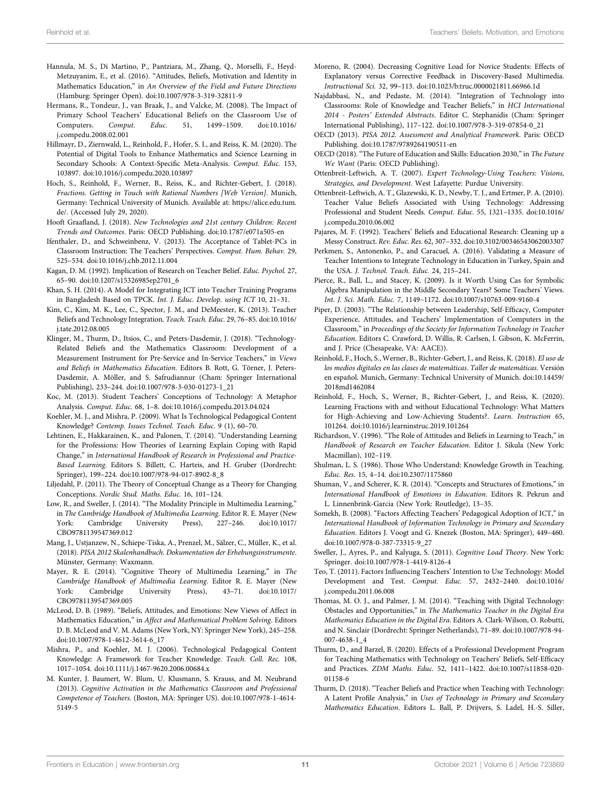- <span id="page-11-5"></span>Hannula, M. S., Di Martino, P., Pantziara, M., Zhang, Q., Morselli, F., Heyd-Metzuyanim, E., et al. (2016). "Attitudes, Beliefs, Motivation and Identity in Mathematics Education," in An Overview of the Field and Future Directions (Hamburg: Springer Open). doi[:10.1007/978-3-319-32811-9](https://doi.org/10.1007/978-3-319-32811-9)
- <span id="page-11-14"></span>Hermans, R., Tondeur, J., van Braak, J., and Valcke, M. (2008). The Impact of Primary School Teachers' Educational Beliefs on the Classroom Use of Computers. Comput. Educ. 51, 1499–1509. doi:[10.1016/](https://doi.org/10.1016/j.compedu.2008.02.001) [j.compedu.2008.02.001](https://doi.org/10.1016/j.compedu.2008.02.001)
- <span id="page-11-33"></span>Hillmayr, D., Ziernwald, L., Reinhold, F., Hofer, S. I., and Reiss, K. M. (2020). The Potential of Digital Tools to Enhance Mathematics and Science Learning in Secondary Schools: A Context-Specific Meta-Analysis. Comput. Educ. 153, 103897. doi[:10.1016/j.compedu.2020.103897](https://doi.org/10.1016/j.compedu.2020.103897)
- <span id="page-11-34"></span>Hoch, S., Reinhold, F., Werner, B., Reiss, K., and Richter-Gebert, J. (2018). Fractions. Getting in Touch with Rational Numbers [Web Version]. Munich, Germany: Technical University of Munich. Available at: [https://alice.edu.tum.](https://alice.edu.tum.de/) [de/.](https://alice.edu.tum.de/) (Accessed July 29, 2020).
- <span id="page-11-0"></span>Hooft Graafland, J. (2018). New Technologies and 21st century Children: Recent Trends and Outcomes. Paris: OECD Publishing. doi:[10.1787/e071a505-en](https://doi.org/10.1787/e071a505-en)
- <span id="page-11-8"></span>Ifenthaler, D., and Schweinbenz, V. (2013). The Acceptance of Tablet-PCs in Classroom Instruction: The Teachers' Perspectives. Comput. Hum. Behav. 29, 525–534. doi:[10.1016/j.chb.2012.11.004](https://doi.org/10.1016/j.chb.2012.11.004)
- <span id="page-11-2"></span>Kagan, D. M. (1992). Implication of Research on Teacher Belief. Educ. Psychol. 27, 65–90. doi:[10.1207/s15326985ep2701\\_6](https://doi.org/10.1207/s15326985ep2701_6)
- <span id="page-11-38"></span>Khan, S. H. (2014). A Model for Integrating ICT into Teacher Training Programs in Bangladesh Based on TPCK. Int. J. Educ. Develop. using ICT 10, 21–31.
- <span id="page-11-10"></span>Kim, C., Kim, M. K., Lee, C., Spector, J. M., and DeMeester, K. (2013). Teacher Beliefs and Technology Integration. Teach. Teach. Educ. 29, 76–85. doi:[10.1016/](https://doi.org/10.1016/j.tate.2012.08.005) [j.tate.2012.08.005](https://doi.org/10.1016/j.tate.2012.08.005)
- <span id="page-11-9"></span>Klinger, M., Thurm, D., Itsios, C., and Peters-Dasdemir, J. (2018). "Technology-Related Beliefs and the Mathematics Classroom: Development of a Measurement Instrument for Pre-Service and In-Service Teachers," in Views and Beliefs in Mathematics Education. Editors B. Rott, G. Törner, J. Peters-Dasdemir, A. Möller, and S. Safrudiannur (Cham: Springer International Publishing), 233–244. doi[:10.1007/978-3-030-01273-1\\_21](https://doi.org/10.1007/978-3-030-01273-1_21)
- <span id="page-11-11"></span>Koc, M. (2013). Student Teachers' Conceptions of Technology: A Metaphor Analysis. Comput. Educ. 68, 1–8. doi[:10.1016/j.compedu.2013.04.024](https://doi.org/10.1016/j.compedu.2013.04.024)
- <span id="page-11-37"></span>Koehler, M. J., and Mishra, P. (2009). What Is Technological Pedagogical Content Knowledge? Contemp. Issues Technol. Teach. Educ. 9 (1), 60–70.
- <span id="page-11-23"></span>Lehtinen, E., Hakkarainen, K., and Palonen, T. (2014). "Understanding Learning for the Professions: How Theories of Learning Explain Coping with Rapid Change," in International Handbook of Research in Professional and Practice-Based Learning. Editors S. Billett, C. Harteis, and H. Gruber (Dordrecht: Springer), 199–224. doi[:10.1007/978-94-017-8902-8\\_8](https://doi.org/10.1007/978-94-017-8902-8_8)
- <span id="page-11-21"></span>Liljedahl, P. (2011). The Theory of Conceptual Change as a Theory for Changing Conceptions. Nordic Stud. Maths. Educ. 16, 101–124.
- <span id="page-11-25"></span>Low, R., and Sweller, J. (2014). "The Modality Principle in Multimedia Learning," in The Cambridge Handbook of Multimedia Learning. Editor R. E. Mayer (New York: Cambridge University Press), 227–246. doi:[10.1017/](https://doi.org/10.1017/CBO9781139547369.012) [CBO9781139547369.012](https://doi.org/10.1017/CBO9781139547369.012)
- <span id="page-11-32"></span>Mang, J., Ustjanzew, N., Schiepe-Tiska, A., Prenzel, M., Sälzer, C., Müller, K., et al. (2018). PISA 2012 Skalenhandbuch. Dokumentation der Erhebungsinstrumente. Münster, Germany: Waxmann.
- <span id="page-11-27"></span>Mayer, R. E. (2014). "Cognitive Theory of Multimedia Learning," in The Cambridge Handbook of Multimedia Learning. Editor R. E. Mayer (New York: Cambridge University Press), 43–71. doi:[10.1017/](https://doi.org/10.1017/CBO9781139547369.005) [CBO9781139547369.005](https://doi.org/10.1017/CBO9781139547369.005)
- <span id="page-11-4"></span>McLeod, D. B. (1989). "Beliefs, Attitudes, and Emotions: New Views of Affect in Mathematics Education," in Affect and Mathematical Problem Solving. Editors D. B. McLeod and V. M. Adams (New York, NY: Springer New York), 245–258. doi:[10.1007/978-1-4612-3614-6\\_17](https://doi.org/10.1007/978-1-4612-3614-6_17)
- <span id="page-11-36"></span>Mishra, P., and Koehler, M. J. (2006). Technological Pedagogical Content Knowledge: A Framework for Teacher Knowledge. Teach. Coll. Rec. 108, 1017–1054. doi[:10.1111/j.1467-9620.2006.00684.x](https://doi.org/10.1111/j.1467-9620.2006.00684.x)
- <span id="page-11-40"></span>M. Kunter, J. Baumert, W. Blum, U. Klusmann, S. Krauss, and M. Neubrand (2013). Cognitive Activation in the Mathematics Classroom and Professional Competence of Teachers. (Boston, MA: Springer US). doi:[10.1007/978-1-4614-](https://doi.org/10.1007/978-1-4614-5149-5) [5149-5](https://doi.org/10.1007/978-1-4614-5149-5)
- <span id="page-11-26"></span>Moreno, R. (2004). Decreasing Cognitive Load for Novice Students: Effects of Explanatory versus Corrective Feedback in Discovery-Based Multimedia. Instructional Sci. 32, 99–113. doi[:10.1023/b:truc.0000021811.66966.1d](https://doi.org/10.1023/b:truc.0000021811.66966.1d)
- <span id="page-11-16"></span>Najdabbasi, N., and Pedaste, M. (2014). "Integration of Technology into Classrooms: Role of Knowledge and Teacher Beliefs," in HCI International 2014 - Posters' Extended Abstracts. Editor C. Stephanidis (Cham: Springer International Publishing), 117–122. doi:[10.1007/978-3-319-07854-0\\_21](https://doi.org/10.1007/978-3-319-07854-0_21)
- <span id="page-11-31"></span>OECD (2013). PISA 2012. Assessment and Analytical Framework. Paris: OECD Publishing. doi[:10.1787/9789264190511-en](https://doi.org/10.1787/9789264190511-en)
- <span id="page-11-1"></span>OECD (2018)."The Future of Education and Skills: Education 2030,"in The Future We Want (Paris: OECD Publishing).
- <span id="page-11-30"></span>Ottenbreit-Leftwich, A. T. (2007). Expert Technology-Using Teachers: Visions, Strategies, and Development. West Lafayette: Purdue University.
- <span id="page-11-15"></span>Ottenbreit-Leftwich, A. T., Glazewski, K. D., Newby, T. J., and Ertmer, P. A. (2010). Teacher Value Beliefs Associated with Using Technology: Addressing Professional and Student Needs. Comput. Educ. 55, 1321–1335. doi[:10.1016/](https://doi.org/10.1016/j.compedu.2010.06.002) [j.compedu.2010.06.002](https://doi.org/10.1016/j.compedu.2010.06.002)
- <span id="page-11-3"></span>Pajares, M. F. (1992). Teachers' Beliefs and Educational Research: Cleaning up a Messy Construct. Rev. Educ. Res. 62, 307–332. doi[:10.3102/00346543062003307](https://doi.org/10.3102/00346543062003307)
- <span id="page-11-20"></span>Perkmen, S., Antonenko, P., and Caracuel, A. (2016). Validating a Measure of Teacher Intentions to Integrate Technology in Education in Turkey, Spain and the USA. J. Technol. Teach. Educ. 24, 215–241.
- <span id="page-11-12"></span>Pierce, R., Ball, L., and Stacey, K. (2009). Is it Worth Using Cas for Symbolic Algebra Manipulation in the Middle Secondary Years? Some Teachers' Views. Int. J. Sci. Math. Educ. 7, 1149–1172. doi:[10.1007/s10763-009-9160-4](https://doi.org/10.1007/s10763-009-9160-4)
- <span id="page-11-19"></span>Piper, D. (2003). "The Relationship between Leadership, Self-Efficacy, Computer Experience, Attitudes, and Teachers' Implementation of Computers in the Classroom," in Proceedings of the Society for Information Technology in Teacher Education. Editors C. Crawford, D. Willis, R. Carlsen, I. Gibson, K. McFerrin, and J. Price (Chesapeake, VA: AACE)).
- <span id="page-11-35"></span>Reinhold, F., Hoch, S., Werner, B., Richter-Gebert, J., and Reiss, K. (2018). El uso de los medios digitales en las clases de matemáticas. Taller de matemáticas. Versión en español. Munich, Germany: Technical University of Munich. doi:[10.14459/](https://doi.org/10.14459/2018md1462084) [2018md1462084](https://doi.org/10.14459/2018md1462084)
- <span id="page-11-28"></span>Reinhold, F., Hoch, S., Werner, B., Richter-Gebert, J., and Reiss, K. (2020). Learning Fractions with and without Educational Technology: What Matters for High-Achieving and Low-Achieving Students?. Learn. Instruction 65, 101264. doi:[10.1016/j.learninstruc.2019.101264](https://doi.org/10.1016/j.learninstruc.2019.101264)
- <span id="page-11-22"></span>Richardson, V. (1996). "The Role of Attitudes and Beliefs in Learning to Teach," in Handbook of Research on Teacher Education. Editor J. Sikula (New York: Macmillan), 102–119.
- <span id="page-11-39"></span>Shulman, L. S. (1986). Those Who Understand: Knowledge Growth in Teaching. Educ. Res. 15, 4–14. doi[:10.2307/1175860](https://doi.org/10.2307/1175860)
- <span id="page-11-6"></span>Shuman, V., and Scherer, K. R. (2014). "Concepts and Structures of Emotions," in International Handbook of Emotions in Education. Editors R. Pekrun and L. Linnenbrink-Garcia (New York: Routledge), 13–35.
- <span id="page-11-29"></span>Somekh, B. (2008). "Factors Affecting Teachers' Pedagogical Adoption of ICT," in International Handbook of Information Technology in Primary and Secondary Education. Editors J. Voogt and G. Knezek (Boston, MA: Springer), 449–460. doi[:10.1007/978-0-387-73315-9\\_27](https://doi.org/10.1007/978-0-387-73315-9_27)
- <span id="page-11-24"></span>Sweller, J., Ayres, P., and Kalyuga, S. (2011). Cognitive Load Theory. New York: Springer. doi:[10.1007/978-1-4419-8126-4](https://doi.org/10.1007/978-1-4419-8126-4)
- <span id="page-11-7"></span>Teo, T. (2011). Factors Influencing Teachers' Intention to Use Technology: Model Development and Test. Comput. Educ. 57, 2432–2440. doi[:10.1016/](https://doi.org/10.1016/j.compedu.2011.06.008) [j.compedu.2011.06.008](https://doi.org/10.1016/j.compedu.2011.06.008)
- <span id="page-11-17"></span>Thomas, M. O. J., and Palmer, J. M. (2014). "Teaching with Digital Technology: Obstacles and Opportunities," in The Mathematics Teacher in the Digital Era Mathematics Education in the Digital Era. Editors A. Clark-Wilson, O. Robutti, and N. Sinclair (Dordrecht: Springer Netherlands), 71–89. doi[:10.1007/978-94-](https://doi.org/10.1007/978-94-007-4638-1_4) [007-4638-1\\_4](https://doi.org/10.1007/978-94-007-4638-1_4)
- <span id="page-11-13"></span>Thurm, D., and Barzel, B. (2020). Effects of a Professional Development Program for Teaching Mathematics with Technology on Teachers' Beliefs, Self-Efficacy and Practices. ZDM Maths. Educ. 52, 1411–1422. doi:[10.1007/s11858-020-](https://doi.org/10.1007/s11858-020-01158-6) [01158-6](https://doi.org/10.1007/s11858-020-01158-6)
- <span id="page-11-18"></span>Thurm, D. (2018). "Teacher Beliefs and Practice when Teaching with Technology: A Latent Profile Analysis," in Uses of Technology in Primary and Secondary Mathematics Education. Editors L. Ball, P. Drijvers, S. Ladel, H.-S. Siller,